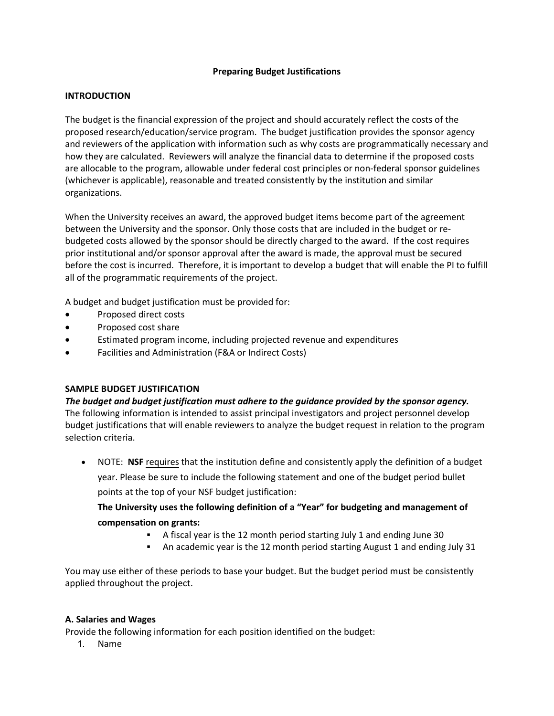# **Preparing Budget Justifications**

## **INTRODUCTION**

The budget is the financial expression of the project and should accurately reflect the costs of the proposed research/education/service program. The budget justification provides the sponsor agency and reviewers of the application with information such as why costs are programmatically necessary and how they are calculated. Reviewers will analyze the financial data to determine if the proposed costs are allocable to the program, allowable under federal cost principles or non-federal sponsor guidelines (whichever is applicable), reasonable and treated consistently by the institution and similar organizations.

When the University receives an award, the approved budget items become part of the agreement between the University and the sponsor. Only those costs that are included in the budget or rebudgeted costs allowed by the sponsor should be directly charged to the award. If the cost requires prior institutional and/or sponsor approval after the award is made, the approval must be secured before the cost is incurred. Therefore, it is important to develop a budget that will enable the PI to fulfill all of the programmatic requirements of the project.

A budget and budget justification must be provided for:

- Proposed direct costs
- Proposed cost share
- Estimated program income, including projected revenue and expenditures
- Facilities and Administration (F&A or Indirect Costs)

# **SAMPLE BUDGET JUSTIFICATION**

*The budget and budget justification must adhere to the guidance provided by the sponsor agency.* The following information is intended to assist principal investigators and project personnel develop budget justifications that will enable reviewers to analyze the budget request in relation to the program selection criteria.

• NOTE: **NSF** requires that the institution define and consistently apply the definition of a budget year. Please be sure to include the following statement and one of the budget period bullet points at the top of your NSF budget justification:

**The University uses the following definition of a "Year" for budgeting and management of compensation on grants:**

- A fiscal year is the 12 month period starting July 1 and ending June 30
	- An academic year is the 12 month period starting August 1 and ending July 31

You may use either of these periods to base your budget. But the budget period must be consistently applied throughout the project.

## **A. Salaries and Wages**

Provide the following information for each position identified on the budget:

1. Name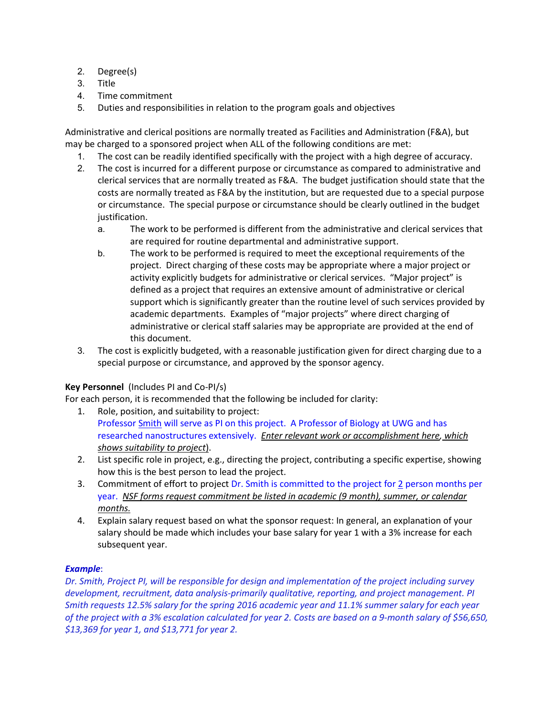- 2. Degree(s)
- 3. Title
- 4. Time commitment
- 5. Duties and responsibilities in relation to the program goals and objectives

Administrative and clerical positions are normally treated as Facilities and Administration (F&A), but may be charged to a sponsored project when ALL of the following conditions are met:

- 1. The cost can be readily identified specifically with the project with a high degree of accuracy.
- 2. The cost is incurred for a different purpose or circumstance as compared to administrative and clerical services that are normally treated as F&A. The budget justification should state that the costs are normally treated as F&A by the institution, but are requested due to a special purpose or circumstance. The special purpose or circumstance should be clearly outlined in the budget justification.
	- a. The work to be performed is different from the administrative and clerical services that are required for routine departmental and administrative support.
	- b. The work to be performed is required to meet the exceptional requirements of the project. Direct charging of these costs may be appropriate where a major project or activity explicitly budgets for administrative or clerical services. "Major project" is defined as a project that requires an extensive amount of administrative or clerical support which is significantly greater than the routine level of such services provided by academic departments. Examples of "major projects" where direct charging of administrative or clerical staff salaries may be appropriate are provided at the end of this document.
- 3. The cost is explicitly budgeted, with a reasonable justification given for direct charging due to a special purpose or circumstance, and approved by the sponsor agency.

# **Key Personnel** (Includes PI and Co-PI/s)

For each person, it is recommended that the following be included for clarity:

- 1. Role, position, and suitability to project: Professor Smith will serve as PI on this project. A Professor of Biology at UWG and has researched nanostructures extensively. *Enter relevant work or accomplishment here, which shows suitability to project*).
- 2. List specific role in project, e.g., directing the project, contributing a specific expertise, showing how this is the best person to lead the project.
- 3. Commitment of effort to project Dr. Smith is committed to the project for 2 person months per year. *NSF forms request commitment be listed in academic (9 month), summer, or calendar months.*
- 4. Explain salary request based on what the sponsor request: In general, an explanation of your salary should be made which includes your base salary for year 1 with a 3% increase for each subsequent year.

# *Example*:

*Dr. Smith, Project PI, will be responsible for design and implementation of the project including survey development, recruitment, data analysis-primarily qualitative, reporting, and project management. PI Smith requests 12.5% salary for the spring 2016 academic year and 11.1% summer salary for each year of the project with a 3% escalation calculated for year 2. Costs are based on a 9-month salary of \$56,650, \$13,369 for year 1, and \$13,771 for year 2.*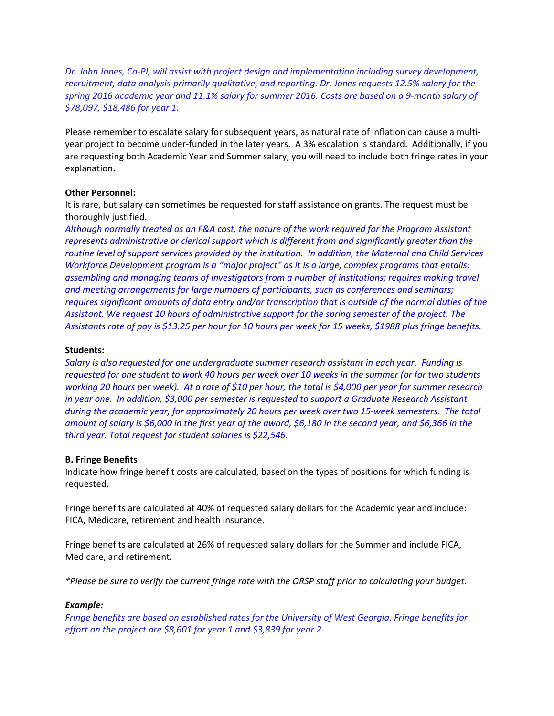*Dr. John Jones, Co-PI, will assist with project design and implementation including survey development, recruitment, data analysis-primarily qualitative, and reporting. Dr. Jones requests 12.5% salary for the spring 2016 academic year and 11.1% salary for summer 2016. Costs are based on a 9-month salary of \$78,097, \$18,486 for year 1.*

Please remember to escalate salary for subsequent years, as natural rate of inflation can cause a multiyear project to become under-funded in the later years. A 3% escalation is standard. Additionally, if you are requesting both Academic Year and Summer salary, you will need to include both fringe rates in your explanation.

## **Other Personnel:**

It is rare, but salary can sometimes be requested for staff assistance on grants. The request must be thoroughly justified.

*Although normally treated as an F&A cost, the nature of the work required for the Program Assistant represents administrative or clerical support which is different from and significantly greater than the routine level of support services provided by the institution. In addition, the Maternal and Child Services Workforce Development program is a "major project" as it is a large, complex programs that entails: assembling and managing teams of investigators from a number of institutions; requires making travel and meeting arrangements for large numbers of participants, such as conferences and seminars; requires significant amounts of data entry and/or transcription that is outside of the normal duties of the Assistant. We request 10 hours of administrative support for the spring semester of the project. The Assistants rate of pay is \$13.25 per hour for 10 hours per week for 15 weeks, \$1988 plus fringe benefits.*

## **Students:**

*Salary is also requested for one undergraduate summer research assistant in each year. Funding is requested for one student to work 40 hours per week over 10 weeks in the summer (or for two students working 20 hours per week). At a rate of \$10 per hour, the total is \$4,000 per year for summer research in year one. In addition, \$3,000 per semester is requested to support a Graduate Research Assistant during the academic year, for approximately 20 hours per week over two 15-week semesters. The total amount of salary is \$6,000 in the first year of the award, \$6,180 in the second year, and \$6,366 in the third year. Total request for student salaries is \$22,546.*

# **B. Fringe Benefits**

Indicate how fringe benefit costs are calculated, based on the types of positions for which funding is requested.

Fringe benefits are calculated at 40% of requested salary dollars for the Academic year and include: FICA, Medicare, retirement and health insurance.

Fringe benefits are calculated at 26% of requested salary dollars for the Summer and include FICA, Medicare, and retirement.

*\*Please be sure to verify the current fringe rate with the ORSP staff prior to calculating your budget.*

# *Example:*

*Fringe benefits are based on established rates for the University of West Georgia. Fringe benefits for effort on the project are \$8,601 for year 1 and \$3,839 for year 2.*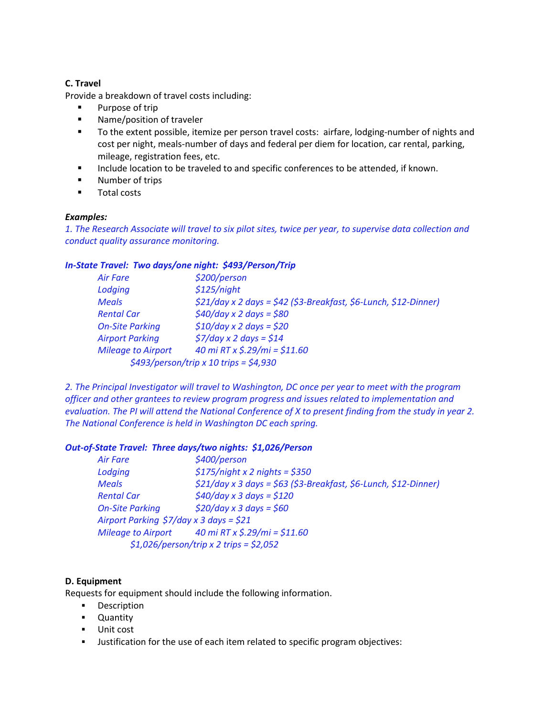# **C. Travel**

Provide a breakdown of travel costs including:

- **Purpose of trip**
- **Name/position of traveler**
- To the extent possible, itemize per person travel costs: airfare, lodging-number of nights and cost per night, meals-number of days and federal per diem for location, car rental, parking, mileage, registration fees, etc.
- **Include location to be traveled to and specific conferences to be attended, if known.**
- **Number of trips**
- **Total costs**

# *Examples:*

*1. The Research Associate will travel to six pilot sites, twice per year, to supervise data collection and conduct quality assurance monitoring.*

# *In-State Travel: Two days/one night: \$493/Person/Trip*

| Air Fare                  | \$200/person                                                       |
|---------------------------|--------------------------------------------------------------------|
| Lodging                   | \$125/night                                                        |
| <b>Meals</b>              | $$21/day \times 2 days = $42 ($3-Breakfast, $6-Lunch, $12-Dinner)$ |
| <b>Rental Car</b>         | $$40/day \times 2 days = $80$                                      |
| <b>On-Site Parking</b>    | $$10/day \times 2 days = $20$                                      |
| <b>Airport Parking</b>    | $\frac{2}{37}$ /day x 2 days = \$14                                |
| <b>Mileage to Airport</b> | 40 mi RT x $\frac{2.29}{mi} = \frac{211.60}{j}$                    |
|                           | $$493/person/trip \times 10$ trips = \$4,930                       |

*2. The Principal Investigator will travel to Washington, DC once per year to meet with the program officer and other grantees to review program progress and issues related to implementation and evaluation. The PI will attend the National Conference of X to present finding from the study in year 2. The National Conference is held in Washington DC each spring.*

# *Out-of-State Travel: Three days/two nights: \$1,026/Person*

| <b>Air Fare</b>                                             | \$400/person                                                          |
|-------------------------------------------------------------|-----------------------------------------------------------------------|
| Lodging                                                     | $$175/night \times 2$ nights = \$350                                  |
| <b>Meals</b>                                                | \$21/day x 3 days = \$63 (\$3-Breakfast, \$6-Lunch, \$12-Dinner)      |
| <b>Rental Car</b>                                           | $$40/day \times 3 days = $120$                                        |
| <b>On-Site Parking</b>                                      | $$20/day \times 3 days = $60$                                         |
| Airport Parking $\frac{2}{7}$ day x 3 days = $\frac{21}{7}$ |                                                                       |
|                                                             | Mileage to Airport $40 \text{ mi RT} \times \frac{5.29}{mi} = $11.60$ |
|                                                             | $$1,026/person/trip \times 2 trips = $2,052$$                         |

# **D. Equipment**

Requests for equipment should include the following information.

- **Description**
- **-** Quantity
- **Unit cost**
- **Justification for the use of each item related to specific program objectives:**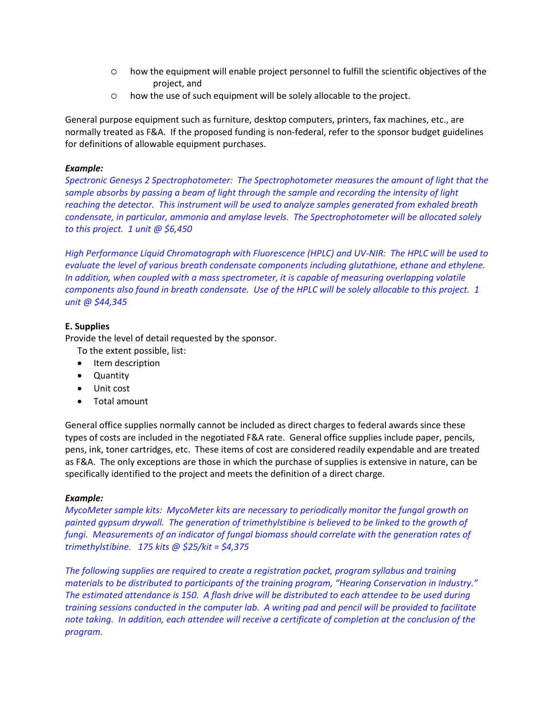- how the equipment will enable project personnel to fulfill the scientific objectives of the project, and
- how the use of such equipment will be solely allocable to the project.

General purpose equipment such as furniture, desktop computers, printers, fax machines, etc., are normally treated as F&A. If the proposed funding is non-federal, refer to the sponsor budget guidelines for definitions of allowable equipment purchases.

# *Example:*

*Spectronic Genesys 2 Spectrophotometer: The Spectrophotometer measures the amount of light that the sample absorbs by passing a beam of light through the sample and recording the intensity of light reaching the detector. This instrument will be used to analyze samples generated from exhaled breath condensate, in particular, ammonia and amylase levels. The Spectrophotometer will be allocated solely to this project. 1 unit @ \$6,450*

*High Performance Liquid Chromatograph with Fluorescence (HPLC) and UV-NIR: The HPLC will be used to evaluate the level of various breath condensate components including glutathione, ethane and ethylene. In addition, when coupled with a mass spectrometer, it is capable of measuring overlapping volatile components also found in breath condensate. Use of the HPLC will be solely allocable to this project. 1 unit @ \$44,345*

## **E. Supplies**

Provide the level of detail requested by the sponsor.

To the extent possible, list:

- Item description
- Quantity
- Unit cost
- Total amount

General office supplies normally cannot be included as direct charges to federal awards since these types of costs are included in the negotiated F&A rate. General office supplies include paper, pencils, pens, ink, toner cartridges, etc. These items of cost are considered readily expendable and are treated as F&A. The only exceptions are those in which the purchase of supplies is extensive in nature, can be specifically identified to the project and meets the definition of a direct charge.

## *Example:*

*MycoMeter sample kits: MycoMeter kits are necessary to periodically monitor the fungal growth on painted gypsum drywall. The generation of trimethylstibine is believed to be linked to the growth of fungi. Measurements of an indicator of fungal biomass should correlate with the generation rates of trimethylstibine. 175 kits @ \$25/kit = \$4,375*

*The following supplies are required to create a registration packet, program syllabus and training materials to be distributed to participants of the training program, "Hearing Conservation in Industry." The estimated attendance is 150. A flash drive will be distributed to each attendee to be used during training sessions conducted in the computer lab. A writing pad and pencil will be provided to facilitate note taking. In addition, each attendee will receive a certificate of completion at the conclusion of the program.*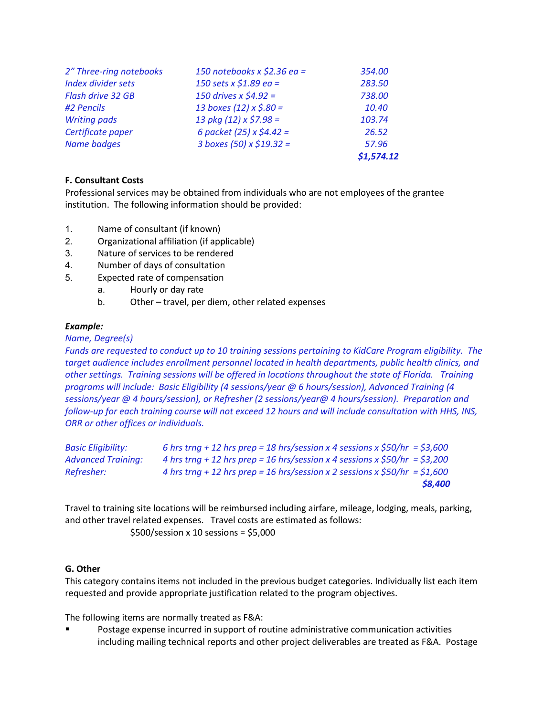| 2" Three-ring notebooks   | 150 notebooks x \$2.36 ea =      | 354.00     |
|---------------------------|----------------------------------|------------|
| <b>Index divider sets</b> | 150 sets x \$1.89 ea =           | 283.50     |
| Flash drive 32 GB         | 150 drives $x \, \text{S}4.92 =$ | 738.00     |
| #2 Pencils                | 13 boxes (12) $x \le 0.80 =$     | 10.40      |
| <b>Writing pads</b>       | 13 pkg (12) $\times$ \$7.98 =    | 103.74     |
| Certificate paper         | 6 packet (25) $x \le 4.42 =$     | 26.52      |
| <b>Name badges</b>        | 3 boxes (50) x \$19.32 =         | 57.96      |
|                           |                                  | \$1,574.12 |

# **F. Consultant Costs**

Professional services may be obtained from individuals who are not employees of the grantee institution. The following information should be provided:

- 1. Name of consultant (if known)
- 2. Organizational affiliation (if applicable)
- 3. Nature of services to be rendered
- 4. Number of days of consultation
- 5. Expected rate of compensation
	- a. Hourly or day rate
	- b. Other travel, per diem, other related expenses

# *Example:*

# *Name, Degree(s)*

*Funds are requested to conduct up to 10 training sessions pertaining to KidCare Program eligibility. The target audience includes enrollment personnel located in health departments, public health clinics, and other settings. Training sessions will be offered in locations throughout the state of Florida. Training programs will include: Basic Eligibility (4 sessions/year @ 6 hours/session), Advanced Training (4 sessions/year @ 4 hours/session), or Refresher (2 sessions/year@ 4 hours/session). Preparation and follow-up for each training course will not exceed 12 hours and will include consultation with HHS, INS, ORR or other offices or individuals.* 

| <b>Basic Eliaibility:</b> | 6 hrs trng + 12 hrs prep = 18 hrs/session x 4 sessions x $$50/hr = $3,600$ |
|---------------------------|----------------------------------------------------------------------------|
| <b>Advanced Trainina:</b> | 4 hrs trng + 12 hrs prep = 16 hrs/session x 4 sessions x $$50/hr = $3,200$ |
| Refresher:                | 4 hrs trng + 12 hrs prep = 16 hrs/session x 2 sessions x $$50/hr = $1,600$ |
|                           | \$8,400                                                                    |

Travel to training site locations will be reimbursed including airfare, mileage, lodging, meals, parking, and other travel related expenses. Travel costs are estimated as follows: \$500/session x 10 sessions = \$5,000

# **G. Other**

This category contains items not included in the previous budget categories. Individually list each item requested and provide appropriate justification related to the program objectives.

The following items are normally treated as F&A:

 Postage expense incurred in support of routine administrative communication activities including mailing technical reports and other project deliverables are treated as F&A. Postage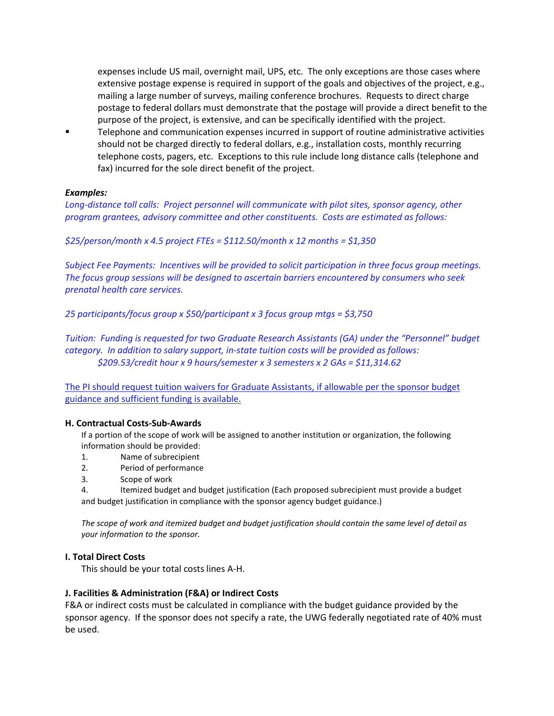expenses include US mail, overnight mail, UPS, etc. The only exceptions are those cases where extensive postage expense is required in support of the goals and objectives of the project, e.g., mailing a large number of surveys, mailing conference brochures. Requests to direct charge postage to federal dollars must demonstrate that the postage will provide a direct benefit to the purpose of the project, is extensive, and can be specifically identified with the project.

**Telephone and communication expenses incurred in support of routine administrative activities** should not be charged directly to federal dollars, e.g., installation costs, monthly recurring telephone costs, pagers, etc. Exceptions to this rule include long distance calls (telephone and fax) incurred for the sole direct benefit of the project.

## *Examples:*

*Long-distance toll calls: Project personnel will communicate with pilot sites, sponsor agency, other program grantees, advisory committee and other constituents. Costs are estimated as follows:*

*\$25/person/month x 4.5 project FTEs = \$112.50/month x 12 months = \$1,350*

*Subject Fee Payments: Incentives will be provided to solicit participation in three focus group meetings. The focus group sessions will be designed to ascertain barriers encountered by consumers who seek prenatal health care services.*

*25 participants/focus group x \$50/participant x 3 focus group mtgs = \$3,750*

*Tuition: Funding is requested for two Graduate Research Assistants (GA) under the "Personnel" budget category. In addition to salary support, in-state tuition costs will be provided as follows: \$209.53/credit hour x 9 hours/semester x 3 semesters x 2 GAs = \$11,314.62*

The PI should request tuition waivers for Graduate Assistants, if allowable per the sponsor budget guidance and sufficient funding is available.

## **H. Contractual Costs-Sub-Awards**

If a portion of the scope of work will be assigned to another institution or organization, the following information should be provided:

- 1. Name of subrecipient
- 2. Period of performance
- 3. Scope of work

4. Itemized budget and budget justification (Each proposed subrecipient must provide a budget and budget justification in compliance with the sponsor agency budget guidance.)

*The scope of work and itemized budget and budget justification should contain the same level of detail as your information to the sponsor.*

## **I. Total Direct Costs**

This should be your total costs lines A-H.

## **J. Facilities & Administration (F&A) or Indirect Costs**

F&A or indirect costs must be calculated in compliance with the budget guidance provided by the sponsor agency. If the sponsor does not specify a rate, the UWG federally negotiated rate of 40% must be used.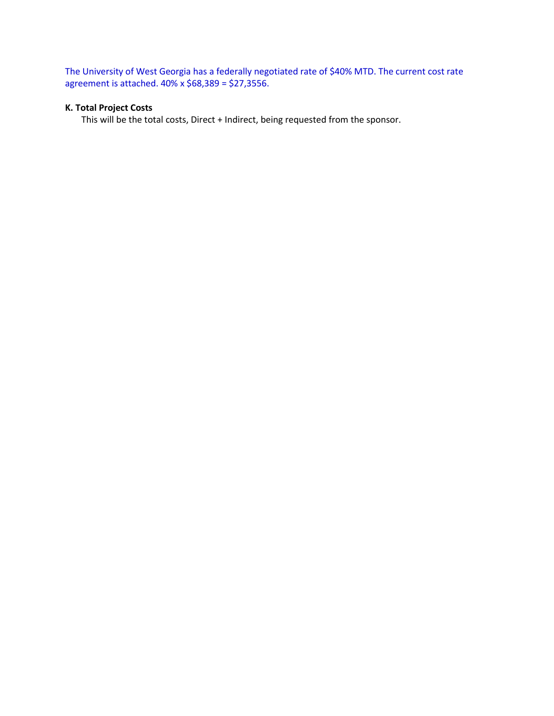The University of West Georgia has a federally negotiated rate of \$40% MTD. The current cost rate agreement is attached. 40% x \$68,389 = \$27,3556.

## **K. Total Project Costs**

This will be the total costs, Direct + Indirect, being requested from the sponsor.